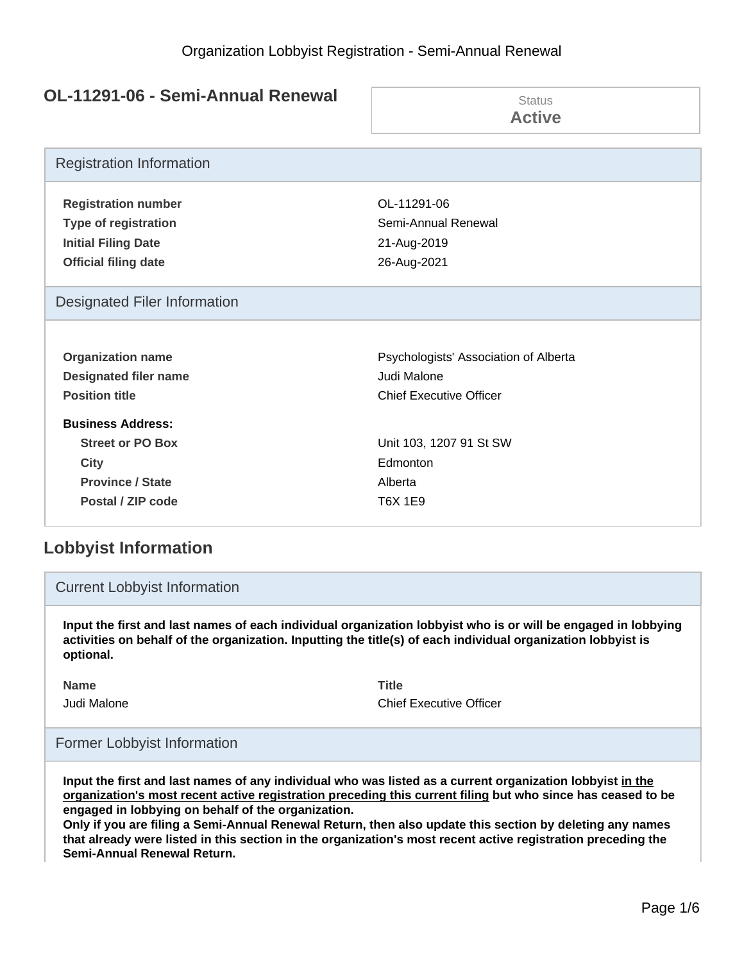## **OL-11291-06 - Semi-Annual Renewal**

| 11471 VV                                                                                                           | Status                                                           |  |
|--------------------------------------------------------------------------------------------------------------------|------------------------------------------------------------------|--|
| <b>Political Report in Albeman</b>                                                                                 | <b>Active</b>                                                    |  |
| <b>Registration Information</b>                                                                                    |                                                                  |  |
| <b>Registration number</b>                                                                                         | OL-11291-06                                                      |  |
| <b>Type of registration</b>                                                                                        | Semi-Annual Renewal                                              |  |
| <b>Initial Filing Date</b>                                                                                         | 21-Aug-2019                                                      |  |
| <b>Official filing date</b>                                                                                        | 26-Aug-2021                                                      |  |
| <b>Designated Filer Information</b>                                                                                |                                                                  |  |
| <b>Organization name</b>                                                                                           | Psychologists' Association of Alberta                            |  |
| <b>Designated filer name</b>                                                                                       | Judi Malone                                                      |  |
| <b>Position title</b>                                                                                              | <b>Chief Executive Officer</b>                                   |  |
| <b>Business Address:</b><br><b>Street or PO Box</b><br><b>City</b><br><b>Province / State</b><br>Postal / ZIP code | Unit 103, 1207 91 St SW<br>Edmonton<br>Alberta<br><b>T6X 1E9</b> |  |

# **Lobbyist Information**

### Current Lobbyist Information

**Input the first and last names of each individual organization lobbyist who is or will be engaged in lobbying activities on behalf of the organization. Inputting the title(s) of each individual organization lobbyist is optional.**

**Name Title**

Judi Malone Chief Executive Officer

### Former Lobbyist Information

**Input the first and last names of any individual who was listed as a current organization lobbyist in the organization's most recent active registration preceding this current filing but who since has ceased to be engaged in lobbying on behalf of the organization.**

**Only if you are filing a Semi-Annual Renewal Return, then also update this section by deleting any names that already were listed in this section in the organization's most recent active registration preceding the Semi-Annual Renewal Return.**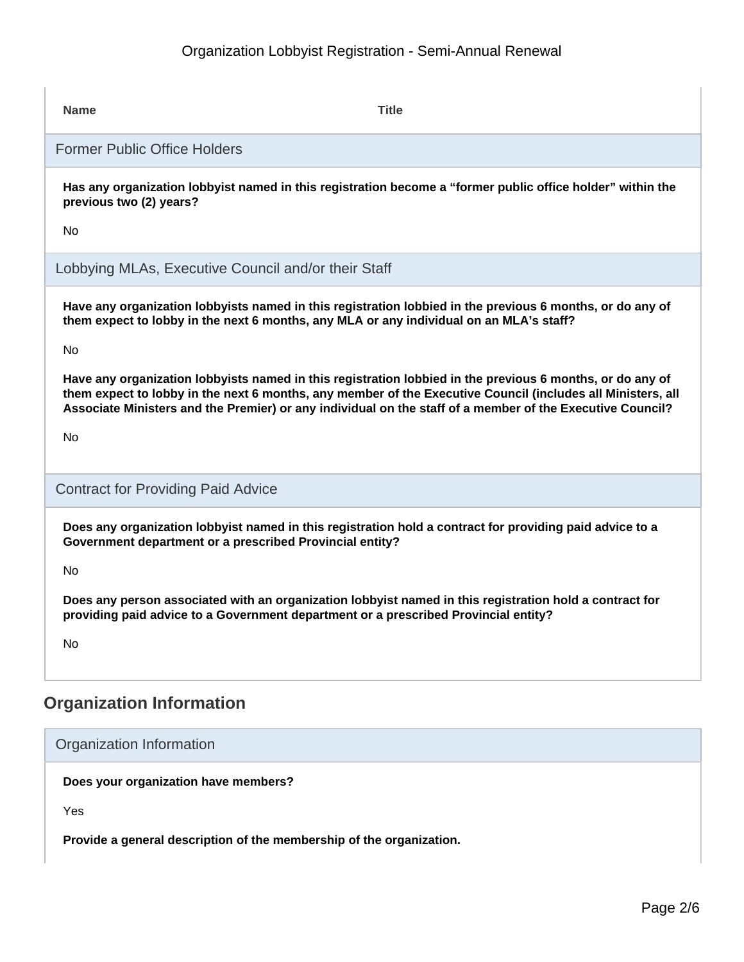# Organization Lobbyist Registration - Semi-Annual Renewal

| <b>Name</b>                                                                                                                                                                       | <b>Title</b>                                                                                                                                                                                                                                                                                                                          |  |  |
|-----------------------------------------------------------------------------------------------------------------------------------------------------------------------------------|---------------------------------------------------------------------------------------------------------------------------------------------------------------------------------------------------------------------------------------------------------------------------------------------------------------------------------------|--|--|
|                                                                                                                                                                                   | <b>Former Public Office Holders</b>                                                                                                                                                                                                                                                                                                   |  |  |
| previous two (2) years?<br>No.                                                                                                                                                    | Has any organization lobbyist named in this registration become a "former public office holder" within the                                                                                                                                                                                                                            |  |  |
|                                                                                                                                                                                   | Lobbying MLAs, Executive Council and/or their Staff                                                                                                                                                                                                                                                                                   |  |  |
| <b>No</b>                                                                                                                                                                         | Have any organization lobbyists named in this registration lobbied in the previous 6 months, or do any of<br>them expect to lobby in the next 6 months, any MLA or any individual on an MLA's staff?                                                                                                                                  |  |  |
| No                                                                                                                                                                                | Have any organization lobbyists named in this registration lobbied in the previous 6 months, or do any of<br>them expect to lobby in the next 6 months, any member of the Executive Council (includes all Ministers, all<br>Associate Ministers and the Premier) or any individual on the staff of a member of the Executive Council? |  |  |
| <b>Contract for Providing Paid Advice</b>                                                                                                                                         |                                                                                                                                                                                                                                                                                                                                       |  |  |
| Does any organization lobbyist named in this registration hold a contract for providing paid advice to a<br>Government department or a prescribed Provincial entity?<br><b>No</b> |                                                                                                                                                                                                                                                                                                                                       |  |  |
| <b>No</b>                                                                                                                                                                         | Does any person associated with an organization lobbyist named in this registration hold a contract for<br>providing paid advice to a Government department or a prescribed Provincial entity?                                                                                                                                        |  |  |
| <b>Organization Information</b>                                                                                                                                                   |                                                                                                                                                                                                                                                                                                                                       |  |  |

## Organization Information

**Does your organization have members?**

Yes

**Provide a general description of the membership of the organization.**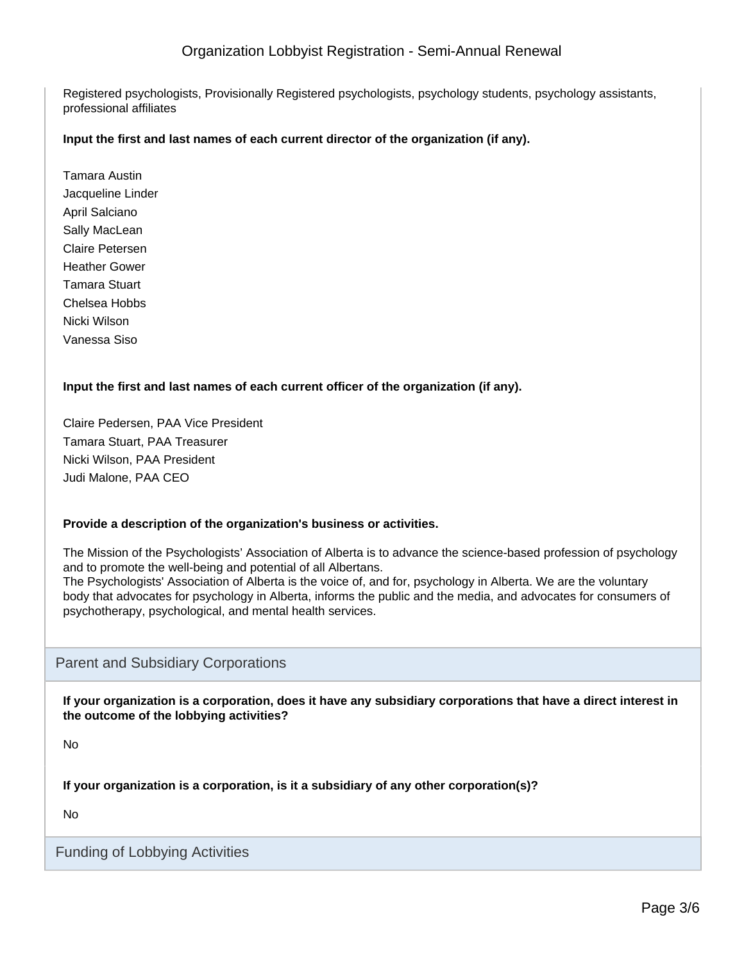### Organization Lobbyist Registration - Semi-Annual Renewal

Registered psychologists, Provisionally Registered psychologists, psychology students, psychology assistants, professional affiliates

#### **Input the first and last names of each current director of the organization (if any).**

Tamara Austin Jacqueline Linder April Salciano Sally MacLean Claire Petersen Heather Gower Tamara Stuart Chelsea Hobbs Nicki Wilson Vanessa Siso

#### **Input the first and last names of each current officer of the organization (if any).**

Claire Pedersen, PAA Vice President Tamara Stuart, PAA Treasurer Nicki Wilson, PAA President Judi Malone, PAA CEO

#### **Provide a description of the organization's business or activities.**

The Mission of the Psychologists' Association of Alberta is to advance the science-based profession of psychology and to promote the well-being and potential of all Albertans.

The Psychologists' Association of Alberta is the voice of, and for, psychology in Alberta. We are the voluntary body that advocates for psychology in Alberta, informs the public and the media, and advocates for consumers of psychotherapy, psychological, and mental health services.

#### Parent and Subsidiary Corporations

**If your organization is a corporation, does it have any subsidiary corporations that have a direct interest in the outcome of the lobbying activities?**

No

**If your organization is a corporation, is it a subsidiary of any other corporation(s)?**

No

Funding of Lobbying Activities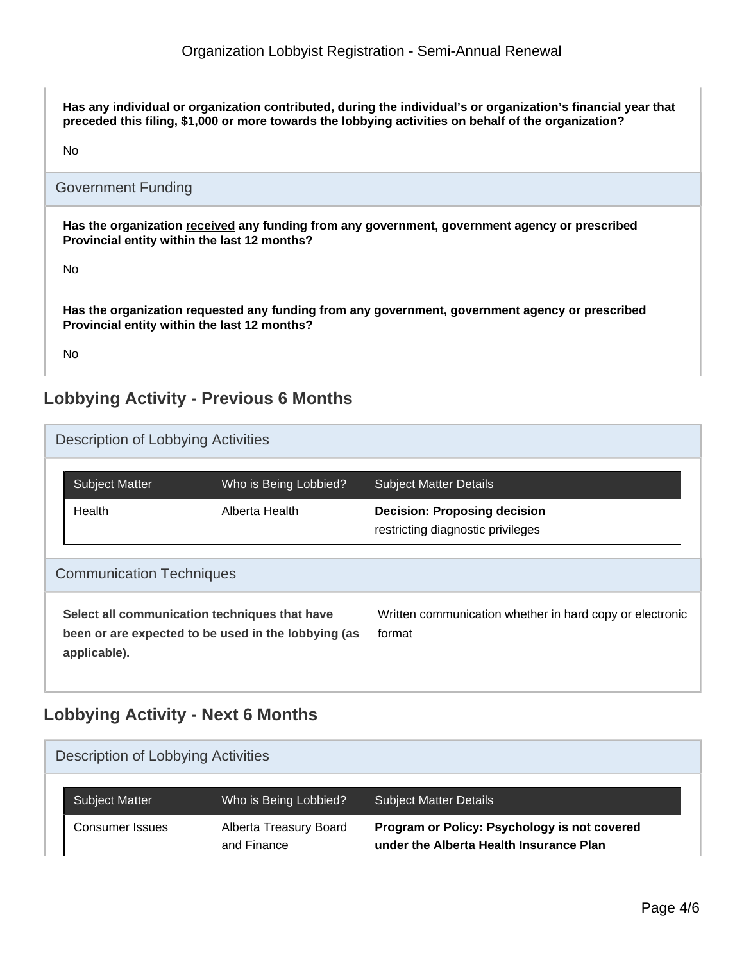**Has any individual or organization contributed, during the individual's or organization's financial year that preceded this filing, \$1,000 or more towards the lobbying activities on behalf of the organization?**

No

### Government Funding

**Has the organization received any funding from any government, government agency or prescribed Provincial entity within the last 12 months?**

No

**Has the organization requested any funding from any government, government agency or prescribed Provincial entity within the last 12 months?**

No

# **Lobbying Activity - Previous 6 Months**

|                                                                                                                      | Description of Lobbying Activities |                       |                                                                          |  |  |  |
|----------------------------------------------------------------------------------------------------------------------|------------------------------------|-----------------------|--------------------------------------------------------------------------|--|--|--|
|                                                                                                                      | <b>Subject Matter</b>              | Who is Being Lobbied? | <b>Subject Matter Details</b>                                            |  |  |  |
|                                                                                                                      | Health                             | Alberta Health        | <b>Decision: Proposing decision</b><br>restricting diagnostic privileges |  |  |  |
| <b>Communication Techniques</b>                                                                                      |                                    |                       |                                                                          |  |  |  |
| Select all communication techniques that have<br>been or are expected to be used in the lobbying (as<br>applicable). |                                    |                       | Written communication whether in hard copy or electronic<br>format       |  |  |  |

## **Lobbying Activity - Next 6 Months**

| Description of Lobbying Activities |                       |                                       |                                                                                         |  |  |
|------------------------------------|-----------------------|---------------------------------------|-----------------------------------------------------------------------------------------|--|--|
|                                    | <b>Subject Matter</b> | Who is Being Lobbied?                 | <b>Subject Matter Details</b>                                                           |  |  |
|                                    | Consumer Issues       | Alberta Treasury Board<br>and Finance | Program or Policy: Psychology is not covered<br>under the Alberta Health Insurance Plan |  |  |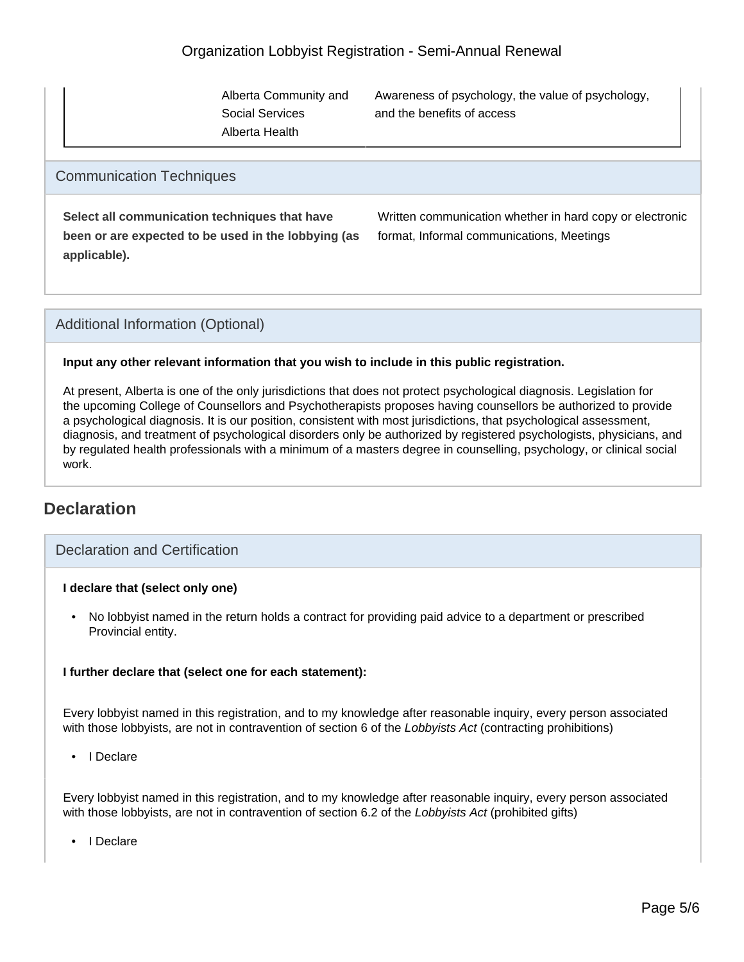Alberta Community and Social Services Alberta Health

Awareness of psychology, the value of psychology, and the benefits of access

### Communication Techniques

**Select all communication techniques that have been or are expected to be used in the lobbying (as applicable).**

Written communication whether in hard copy or electronic format, Informal communications, Meetings

### Additional Information (Optional)

#### **Input any other relevant information that you wish to include in this public registration.**

At present, Alberta is one of the only jurisdictions that does not protect psychological diagnosis. Legislation for the upcoming College of Counsellors and Psychotherapists proposes having counsellors be authorized to provide a psychological diagnosis. It is our position, consistent with most jurisdictions, that psychological assessment, diagnosis, and treatment of psychological disorders only be authorized by registered psychologists, physicians, and by regulated health professionals with a minimum of a masters degree in counselling, psychology, or clinical social work.

## **Declaration**

### Declaration and Certification

#### **I declare that (select only one)**

• No lobbyist named in the return holds a contract for providing paid advice to a department or prescribed Provincial entity.

#### **I further declare that (select one for each statement):**

Every lobbyist named in this registration, and to my knowledge after reasonable inquiry, every person associated with those lobbyists, are not in contravention of section 6 of the Lobbyists Act (contracting prohibitions)

• I Declare

Every lobbyist named in this registration, and to my knowledge after reasonable inquiry, every person associated with those lobbyists, are not in contravention of section 6.2 of the Lobbyists Act (prohibited gifts)

• I Declare